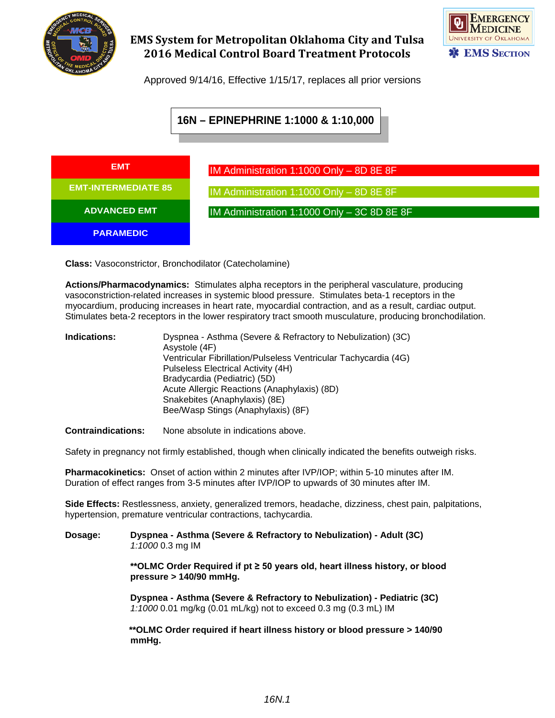

## **EMS System for Metropolitan Oklahoma City and Tulsa 2016 Medical Control Board Treatment Protocols**



Approved 9/14/16, Effective 1/15/17, replaces all prior versions

# **16N – EPINEPHRINE 1:1000 & 1:10,000**



**Class:** Vasoconstrictor, Bronchodilator (Catecholamine)

**Actions/Pharmacodynamics:** Stimulates alpha receptors in the peripheral vasculature, producing vasoconstriction-related increases in systemic blood pressure. Stimulates beta-1 receptors in the myocardium, producing increases in heart rate, myocardial contraction, and as a result, cardiac output. Stimulates beta-2 receptors in the lower respiratory tract smooth musculature, producing bronchodilation.

**Indications:** Dyspnea - Asthma (Severe & Refractory to Nebulization) (3C) Asystole (4F) Ventricular Fibrillation/Pulseless Ventricular Tachycardia (4G) Pulseless Electrical Activity (4H) Bradycardia (Pediatric) (5D) Acute Allergic Reactions (Anaphylaxis) (8D) Snakebites (Anaphylaxis) (8E) Bee/Wasp Stings (Anaphylaxis) (8F)

**Contraindications:** None absolute in indications above.

Safety in pregnancy not firmly established, though when clinically indicated the benefits outweigh risks.

**Pharmacokinetics:** Onset of action within 2 minutes after IVP/IOP; within 5-10 minutes after IM. Duration of effect ranges from 3-5 minutes after IVP/IOP to upwards of 30 minutes after IM.

**Side Effects:** Restlessness, anxiety, generalized tremors, headache, dizziness, chest pain, palpitations, hypertension, premature ventricular contractions, tachycardia.

#### **Dosage: Dyspnea - Asthma (Severe & Refractory to Nebulization) - Adult (3C)** *1:1000* 0.3 mg IM

**\*\*OLMC Order Required if pt ≥ 50 years old, heart illness history, or blood pressure > 140/90 mmHg.**

**Dyspnea - Asthma (Severe & Refractory to Nebulization) - Pediatric (3C)** *1:1000* 0.01 mg/kg (0.01 mL/kg) not to exceed 0.3 mg (0.3 mL) IM

 **\*\*OLMC Order required if heart illness history or blood pressure > 140/90 mmHg.**